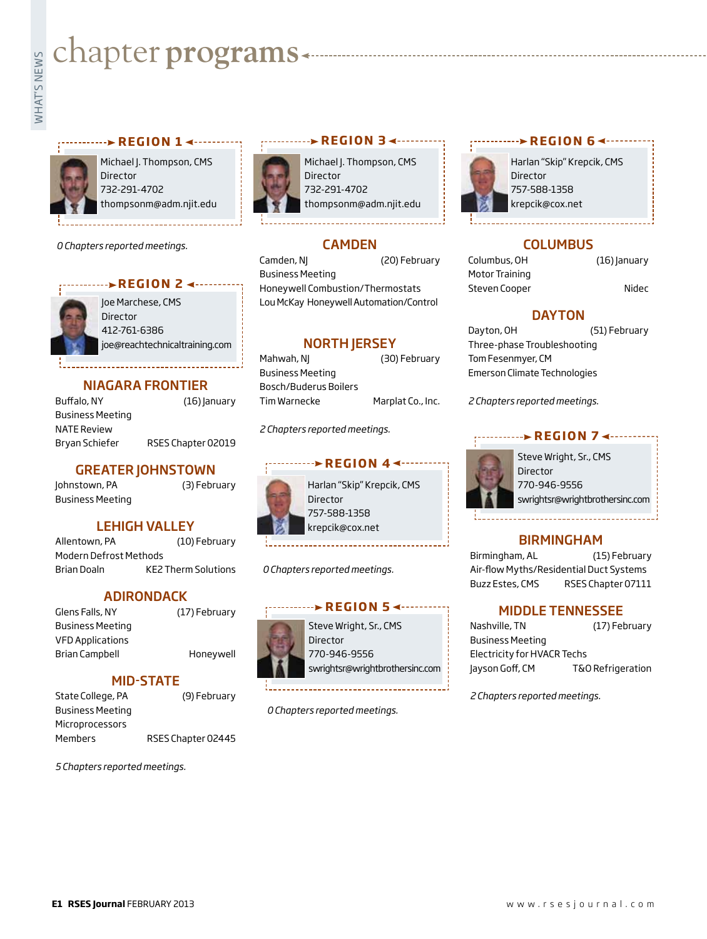# **whater programs**<br>Example:<br>Fig. 1



Michael J. Thompson, CMS Director 732-291-4702 thompsonm@adm.njit.edu

**REGION 14 - - - - - - - - - -**

*0 Chapters reported meetings.*



Joe Marchese, CMS **REGION 2 4 - - - - - - -**

> Director 412-761-6386 joe@reachtechnicaltraining.com

#### NIAGARA FRONTIER

Buffalo, NY (16) January Business Meeting NATE Review Bryan Schiefer RSES Chapter 02019

#### GREATER JOHNSTOWN

Johnstown, PA (3) February Business Meeting

#### LEHIGH VALLEY

Allentown, PA (10) February Modern Defrost Methods Brian Doaln KE2 Therm Solutions

#### ADIRONDACK

Glens Falls, NY (17) February Business Meeting VFD Applications Brian Campbell Honeywell

MID-STATE

State College, PA (9) February Business Meeting Microprocessors Members RSES Chapter 02445

*5 Chapters reported meetings.*



Michael J. Thompson, CMS Director 732-291-4702 thompsonm@adm.njit.edu

**REGION 34 ----------**

### **CAMDEN**

Camden, NJ (20) February Business Meeting Honeywell Combustion/Thermostats Lou McKay Honeywell Automation/Control

#### **NORTH IERSEY**

Mahwah, NJ (30) February Business Meeting Bosch/Buderus Boilers Tim Warnecke Marplat Co., Inc.

*2 Chapters reported meetings.*

#### **REGION 44 ------**

Harlan "Skip" Krepcik, CMS Director 757-588-1358 krepcik@cox.net

*0 Chapters reported meetings.*

## Steve Wright, Sr., CMS **REGION 54 ·········**

Director 770-946-9556 swrightsr@wrightbrothersinc.com

*0 Chapters reported meetings.*



Harlan "Skip" Krepcik, CMS 757-588-1358 krepcik@cox.net

**REGION 64 --------**

#### **COLUMBUS**

Columbus, OH (16) January Motor Training Steven Cooper Nidec

#### **DAYTON**

Dayton, OH (51) February Three-phase Troubleshooting Tom Fesenmyer, CM Emerson Climate Technologies

*2 Chapters reported meetings.*

#### **REGION 7 <-------**



Steve Wright, Sr., CMS Director 770-946-9556 swrightsr@wrightbrothersinc.com

#### BIRMINGHAM

Birmingham, AL (15) February Air-flow Myths/Residential Duct Systems Buzz Estes, CMS RSES Chapter 07111

#### MIDDLE TENNESSEE

| Nashville, TN               | (17) February     |
|-----------------------------|-------------------|
| <b>Business Meeting</b>     |                   |
| Electricity for HVACR Techs |                   |
| Jayson Goff, CM             | T&O Refrigeration |

*2 Chapters reported meetings.*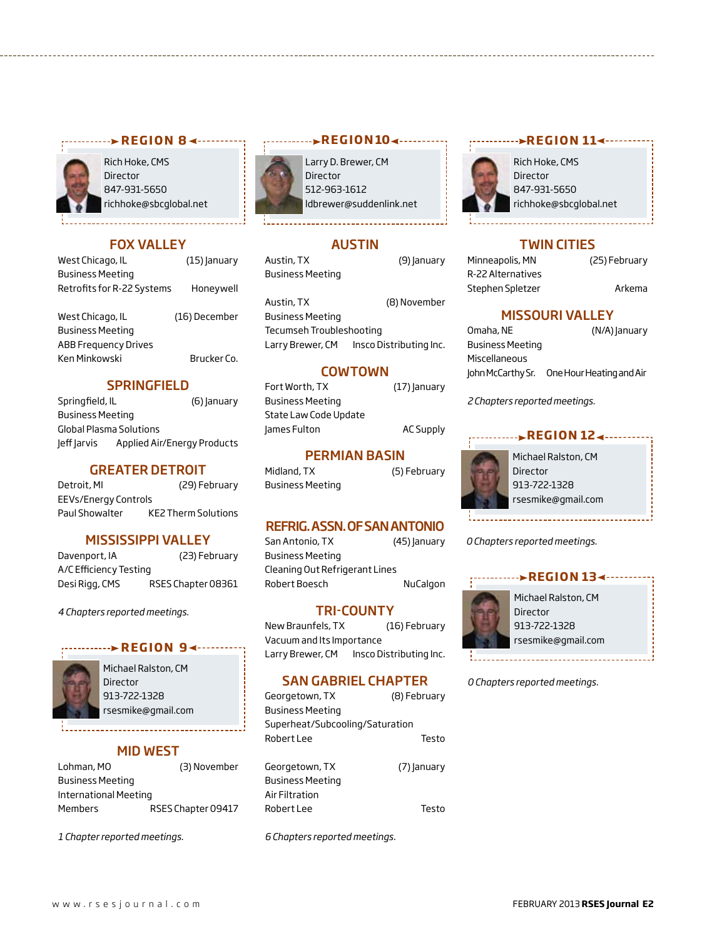

Rich Hoke, CMS Director 847-931-5650 richhoke@sbcglobal.net

#### FOX VALLEY

West Chicago, IL (15) January Business Meeting Retrofits for R-22 Systems Honeywell

| West Chicago, IL        | (16) December |
|-------------------------|---------------|
| <b>Business Meeting</b> |               |
| ABB Frequency Drives    |               |
| Ken Minkowski           | Brucker Co.   |
|                         |               |

#### **SPRINGFIELD**

Springfield, IL (6) January Business Meeting Global Plasma Solutions Jeff Jarvis Applied Air/Energy Products

#### GREATER DETROIT

Detroit, MI (29) February EEVs/Energy Controls Paul Showalter KE2 Therm Solutions

#### MISSISSIPPI VALLEY

Davenport, IA (23) February A/C Efficiency Testing Desi Rigg, CMS RSES Chapter 08361

*4 Chapters reported meetings.*

#### **REGION 94 ----**



Michael Ralston, CM Director 913-722-1328 rsesmike@gmail.com

#### MID WEST

Lohman, MO (3) November Business Meeting International Meeting Members RSES Chapter 09417

*1 Chapter reported meetings.*



#### **REGION104 ---------**

Larry D. Brewer, CM Director 512-963-1612 ldbrewer@suddenlink.net

#### AUSTIN

Austin, TX (9) January Business Meeting

Austin, TX (8) November Business Meeting

Tecumseh Troubleshooting Larry Brewer, CM Insco Distributing Inc.

#### COWTOWN

Fort Worth, TX (17) January Business Meeting State Law Code Update James Fulton AC Supply

#### PERMIAN BASIN

Midland, TX (5) February Business Meeting

#### REFRIG. ASSN. OF SAN ANTONIO

San Antonio, TX (45) January Business Meeting Cleaning Out Refrigerant Lines Robert Boesch NuCalgon

#### TRI-COUNTY

New Braunfels, TX (16) February Vacuum and Its Importance Larry Brewer, CM Insco Distributing Inc.

#### SAN GABRIEL CHAPTER

Georgetown, TX (8) February Business Meeting Superheat/Subcooling/Saturation Robert Lee Testo

Georgetown, TX (7) January Business Meeting Air Filtration Robert Lee Testo

*6 Chapters reported meetings.*

#### **REGION 114 - - - - - - - -**



Rich Hoke, CMS Director 847-931-5650 richhoke@sbcglobal.net

#### TWIN CITIES

| Minneapolis, MN   |  |
|-------------------|--|
| R-22 Alternatives |  |
| Stephen Spletzer  |  |

(25) February

Arkema

#### MISSOURI VALLEY

| Omaha, NE               | (N/A) January            |
|-------------------------|--------------------------|
| <b>Business Meeting</b> |                          |
| Miscellaneous           |                          |
| John McCarthy Sr.       | One Hour Heating and Air |

*2 Chapters reported meetings.*

#### *<u>REGION 12∢……</u>*



*0 Chapters reported meetings.*



*0 Chapters reported meetings.*